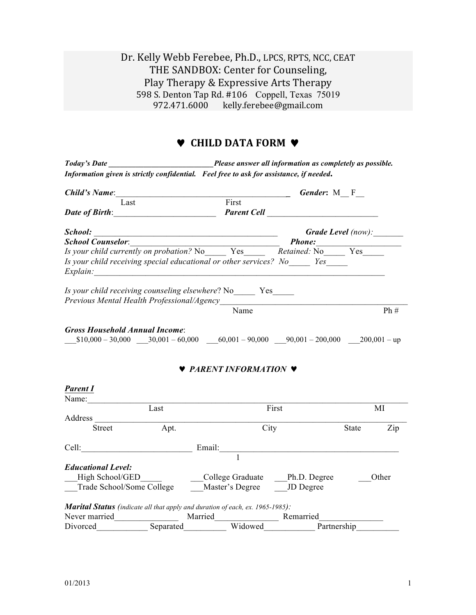## Dr. Kelly Webb Ferebee, Ph.D., LPCS, RPTS, NCC, CEAT THE SANDBOX: Center for Counseling, Play Therapy & Expressive Arts Therapy 598 S. Denton Tap Rd. #106 Coppell, Texas 75019 972.471.6000 kelly.ferebee@gmail.com

# ♥ **CHILD DATA FORM** ♥

|                           |                                                                                                                       | Today's Date Today's Date answer all information as completely as possible.                                                                                                                                                        |                    |                           |       |
|---------------------------|-----------------------------------------------------------------------------------------------------------------------|------------------------------------------------------------------------------------------------------------------------------------------------------------------------------------------------------------------------------------|--------------------|---------------------------|-------|
|                           |                                                                                                                       | Information given is strictly confidential. Feel free to ask for assistance, if needed.                                                                                                                                            |                    |                           |       |
|                           | Child's Name: 1988 Child's Name:                                                                                      |                                                                                                                                                                                                                                    | <b>Gender:</b> M F |                           |       |
| Last                      |                                                                                                                       | First                                                                                                                                                                                                                              |                    |                           |       |
|                           | Date of Birth: Date of Birth:                                                                                         | <b>Parent Cell Contract Contract Contract Contract Contract Contract Contract Contract Contract Contract Contract Contract Contract Contract Contract Contract Contract Contract Contract Contract Contract Contract Contract </b> |                    |                           |       |
| School:                   | <u> 1989 - Johann Barn, mars ann an t-Amhain an t-Amhain an t-Amhain an t-Amhain an t-Amhain an t-Amhain an t-Amh</u> |                                                                                                                                                                                                                                    |                    | <b>Grade Level</b> (now): |       |
|                           |                                                                                                                       |                                                                                                                                                                                                                                    |                    |                           |       |
|                           |                                                                                                                       | Is your child currently on probation? No Yes Retained: No Yes                                                                                                                                                                      |                    |                           |       |
|                           | Explain:                                                                                                              | Is your child receiving special educational or other services? No Yes                                                                                                                                                              |                    |                           |       |
|                           |                                                                                                                       | Is your child receiving counseling elsewhere? No Yes                                                                                                                                                                               |                    |                           |       |
|                           |                                                                                                                       | Name                                                                                                                                                                                                                               |                    |                           | Ph#   |
| <b>Parent I</b>           |                                                                                                                       | <b>V</b> PARENT INFORMATION <b>V</b>                                                                                                                                                                                               |                    |                           |       |
| Name:                     |                                                                                                                       |                                                                                                                                                                                                                                    |                    |                           |       |
| Address                   | Last                                                                                                                  | First                                                                                                                                                                                                                              |                    |                           | MI    |
| <b>Street</b>             | Apt.                                                                                                                  | City                                                                                                                                                                                                                               |                    | State                     | Zip   |
| Cell:                     |                                                                                                                       | Email:                                                                                                                                                                                                                             |                    |                           |       |
|                           |                                                                                                                       |                                                                                                                                                                                                                                    |                    |                           |       |
| <b>Educational Level:</b> |                                                                                                                       |                                                                                                                                                                                                                                    |                    |                           |       |
| High School/GED           |                                                                                                                       | College Graduate                                                                                                                                                                                                                   | Ph.D. Degree       |                           | Other |
| Trade School/Some College |                                                                                                                       | Master's Degree                                                                                                                                                                                                                    | JD Degree          |                           |       |
| Never married             | Married                                                                                                               | Marital Status (indicate all that apply and duration of each, ex. 1965-1985):                                                                                                                                                      | Remarried          |                           |       |
| Divorced                  | Separated                                                                                                             | Widowed                                                                                                                                                                                                                            | Partnership        |                           |       |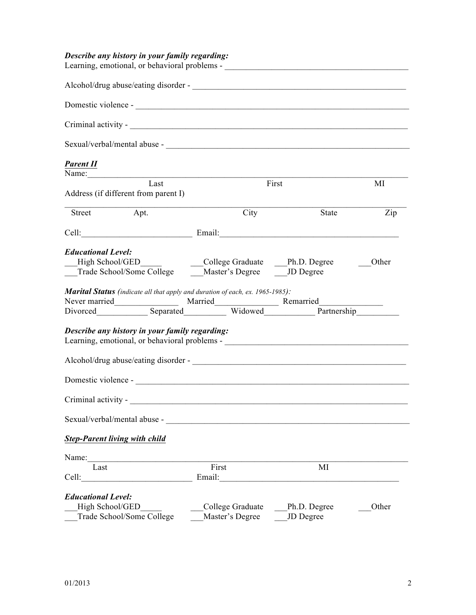## *Describe any history in your family regarding:*

| Learning, emotional, or behavioral problems - __________________________________                                                                                                                                                     |                                                     |              |       |  |  |  |
|--------------------------------------------------------------------------------------------------------------------------------------------------------------------------------------------------------------------------------------|-----------------------------------------------------|--------------|-------|--|--|--|
|                                                                                                                                                                                                                                      |                                                     |              |       |  |  |  |
|                                                                                                                                                                                                                                      |                                                     |              |       |  |  |  |
|                                                                                                                                                                                                                                      |                                                     |              |       |  |  |  |
|                                                                                                                                                                                                                                      |                                                     |              |       |  |  |  |
| <b>Parent II</b>                                                                                                                                                                                                                     |                                                     |              |       |  |  |  |
| Name: 2008. 2008. 2009. 2010. 2010. 2010. 2010. 2010. 2010. 2010. 2010. 2010. 2010. 2010. 2010. 2010. 2010. 20<br>Last                                                                                                               |                                                     | First        | MI    |  |  |  |
| Address (if different from parent I)                                                                                                                                                                                                 |                                                     |              |       |  |  |  |
| Street Apt.                                                                                                                                                                                                                          | City                                                | State        | Zip   |  |  |  |
| Cell: Email: Email: Email: Email: Email: Email: Email: Email: Email: Email: Email: Email: Email: Email: Email: Email: Email: Email: Email: Email: Email: Email: Email: Email: Email: Email: Email: Email: Email: Email: Email:       |                                                     |              |       |  |  |  |
|                                                                                                                                                                                                                                      |                                                     |              |       |  |  |  |
| <b>Educational Level:</b>                                                                                                                                                                                                            |                                                     |              |       |  |  |  |
|                                                                                                                                                                                                                                      | High School/GED<br>College Graduate Ph.D. Degree    |              | Other |  |  |  |
|                                                                                                                                                                                                                                      | Trade School/Some College Master's Degree JD Degree |              |       |  |  |  |
| Marital Status (indicate all that apply and duration of each, ex. 1965-1985):                                                                                                                                                        |                                                     |              |       |  |  |  |
|                                                                                                                                                                                                                                      |                                                     |              |       |  |  |  |
| Divorced Separated Widowed Partnership                                                                                                                                                                                               |                                                     |              |       |  |  |  |
|                                                                                                                                                                                                                                      |                                                     |              |       |  |  |  |
| Describe any history in your family regarding:                                                                                                                                                                                       |                                                     |              |       |  |  |  |
| Learning, emotional, or behavioral problems - __________________________________                                                                                                                                                     |                                                     |              |       |  |  |  |
|                                                                                                                                                                                                                                      |                                                     |              |       |  |  |  |
|                                                                                                                                                                                                                                      |                                                     |              |       |  |  |  |
|                                                                                                                                                                                                                                      |                                                     |              |       |  |  |  |
| Criminal activity - <u>contract the contract of the contract of the contract of the contract of the contract of the contract of the contract of the contract of the contract of the contract of the contract of the contract of </u> |                                                     |              |       |  |  |  |
| Sexual/verbal/mental abuse -                                                                                                                                                                                                         |                                                     |              |       |  |  |  |
| <b>Step-Parent living with child</b>                                                                                                                                                                                                 |                                                     |              |       |  |  |  |
| Name:                                                                                                                                                                                                                                |                                                     |              |       |  |  |  |
| Last                                                                                                                                                                                                                                 | First                                               | MI           |       |  |  |  |
| Cell:                                                                                                                                                                                                                                | Email:                                              |              |       |  |  |  |
| <b>Educational Level:</b>                                                                                                                                                                                                            |                                                     |              |       |  |  |  |
| High School/GED                                                                                                                                                                                                                      | College Graduate                                    | Ph.D. Degree | Other |  |  |  |
| Trade School/Some College                                                                                                                                                                                                            | Master's Degree                                     | JD Degree    |       |  |  |  |
|                                                                                                                                                                                                                                      |                                                     |              |       |  |  |  |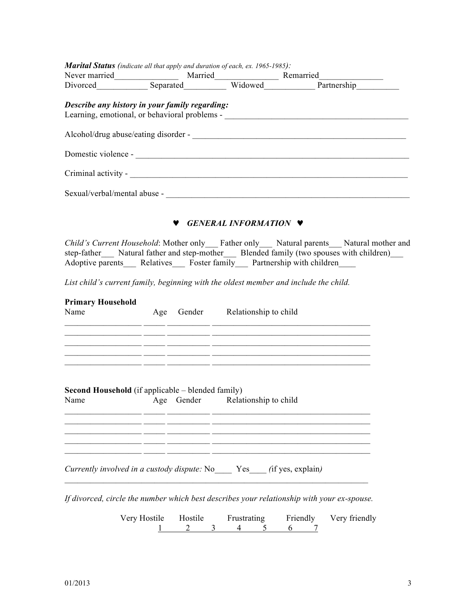| Marital Status (indicate all that apply and duration of each, ex. 1965-1985):        |  |                                       |                                                                                                                                                                                                                                                              |
|--------------------------------------------------------------------------------------|--|---------------------------------------|--------------------------------------------------------------------------------------------------------------------------------------------------------------------------------------------------------------------------------------------------------------|
|                                                                                      |  |                                       | Never married<br>Divorced Separated Married Remarried<br>Divorced Separated Widowed Partnership                                                                                                                                                              |
| Describe any history in your family regarding:                                       |  |                                       | Learning, emotional, or behavioral problems - __________________________________                                                                                                                                                                             |
|                                                                                      |  |                                       |                                                                                                                                                                                                                                                              |
|                                                                                      |  |                                       |                                                                                                                                                                                                                                                              |
|                                                                                      |  |                                       |                                                                                                                                                                                                                                                              |
|                                                                                      |  |                                       |                                                                                                                                                                                                                                                              |
|                                                                                      |  | <b>V</b> GENERAL INFORMATION <b>V</b> |                                                                                                                                                                                                                                                              |
|                                                                                      |  |                                       | Child's Current Household: Mother only Father only Natural parents Natural mother and<br>step-father___ Natural father and step-mother___ Blended family (two spouses with children)__<br>Adoptive parents Relatives Foster family Partnership with children |
| List child's current family, beginning with the oldest member and include the child. |  |                                       |                                                                                                                                                                                                                                                              |
| <b>Primary Household</b><br>Name                                                     |  | Age Gender Relationship to child      | <u> 1999 - Jan James James, francuski politik (f. 1989)</u><br><u> 1989 - Johann John Harry Harry Harry Harry Harry Harry Harry Harry Harry Harry Harry Harry Harry Harry Harry</u>                                                                          |
|                                                                                      |  |                                       | <u> 1990 - Jan James James James James James James James James James James James James James James James James J</u><br><u> 1990 - Jan James James, Amerikaansk politiker (d. 1980)</u>                                                                      |
| Second Household (if applicable - blended family)<br>Name                            |  | Age Gender Relationship to child      |                                                                                                                                                                                                                                                              |
|                                                                                      |  |                                       |                                                                                                                                                                                                                                                              |
| Currently involved in a custody dispute: No _____ Yes _____ (if yes, explain)        |  |                                       |                                                                                                                                                                                                                                                              |

*If divorced, circle the number which best describes your relationship with your ex-spouse.*

Very Hostile Hostile Frustrating Friendly Very friendly<br>
1 2 3 4 5 6 7 ile Hostile Frustrating Friendly<br> $\frac{1}{2}$   $\frac{2}{3}$   $\frac{3}{4}$   $\frac{4}{5}$   $\frac{6}{7}$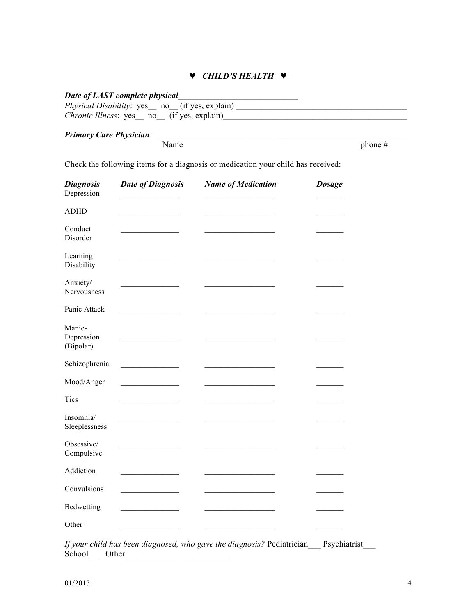### ♥ *CHILD'S HEALTH* ♥

### Date of LAST complete physical

| <i>Physical Disability</i> : yes <sub>___</sub> no <sub>__</sub> (if yes, explain) |  |
|------------------------------------------------------------------------------------|--|
| <i>Chronic Illness</i> : yes no (if yes, explain)                                  |  |

#### *Primary Care Physician:*  $\blacksquare$

Name  $\theta$  phone  $\#$ 

Check the following items for a diagnosis or medication your child has received:

| <b>Diagnosis</b><br>Depression    | <b>Date of Diagnosis</b>                | <b>Name of Medication</b> | <b>Dosage</b> |
|-----------------------------------|-----------------------------------------|---------------------------|---------------|
| <b>ADHD</b>                       |                                         |                           |               |
| Conduct<br>Disorder               |                                         |                           |               |
| Learning<br>Disability            |                                         |                           |               |
| Anxiety/<br>Nervousness           |                                         |                           |               |
| Panic Attack                      |                                         |                           |               |
| Manic-<br>Depression<br>(Bipolar) |                                         |                           |               |
| Schizophrenia                     | <u> 1989 - Johann Barbara, martin a</u> |                           |               |
| Mood/Anger                        |                                         |                           |               |
| Tics                              |                                         |                           |               |
| Insomnia/<br>Sleeplessness        |                                         |                           |               |
| Obsessive/<br>Compulsive          |                                         |                           |               |
| Addiction                         |                                         |                           |               |
| Convulsions                       |                                         |                           |               |
| Bedwetting                        |                                         |                           |               |
| Other                             |                                         |                           |               |

*If your child has been diagnosed, who gave the diagnosis?* Pediatrician\_\_\_ Psychiatrist\_\_\_ School\_\_\_ Other\_\_\_\_\_\_\_\_\_\_\_\_\_\_\_\_\_\_\_\_\_\_\_\_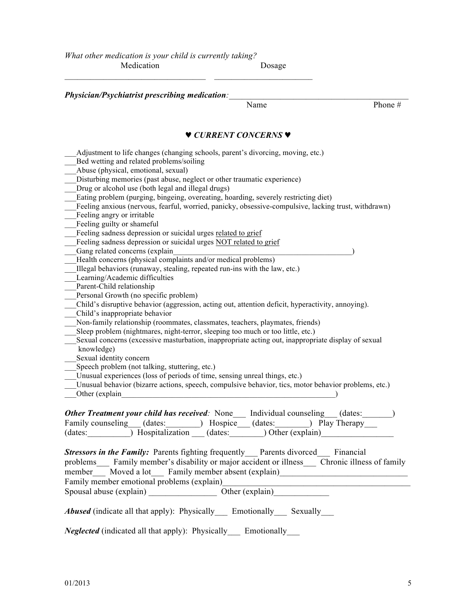$\mathcal{L}_\text{max} = \mathcal{L}_\text{max} = \mathcal{L}_\text{max} = \mathcal{L}_\text{max} = \mathcal{L}_\text{max} = \mathcal{L}_\text{max} = \mathcal{L}_\text{max} = \mathcal{L}_\text{max} = \mathcal{L}_\text{max} = \mathcal{L}_\text{max} = \mathcal{L}_\text{max} = \mathcal{L}_\text{max} = \mathcal{L}_\text{max} = \mathcal{L}_\text{max} = \mathcal{L}_\text{max} = \mathcal{L}_\text{max} = \mathcal{L}_\text{max} = \mathcal{L}_\text{max} = \mathcal{$ 

| Name                                                                                                                                                             | Phone# |
|------------------------------------------------------------------------------------------------------------------------------------------------------------------|--------|
| V CURRENT CONCERNS V                                                                                                                                             |        |
| Adjustment to life changes (changing schools, parent's divorcing, moving, etc.)                                                                                  |        |
| Bed wetting and related problems/soiling                                                                                                                         |        |
| Abuse (physical, emotional, sexual)                                                                                                                              |        |
| Disturbing memories (past abuse, neglect or other traumatic experience)                                                                                          |        |
| Drug or alcohol use (both legal and illegal drugs)                                                                                                               |        |
| Eating problem (purging, bingeing, overeating, hoarding, severely restricting diet)                                                                              |        |
| Feeling anxious (nervous, fearful, worried, panicky, obsessive-compulsive, lacking trust, withdrawn)                                                             |        |
| Feeling angry or irritable                                                                                                                                       |        |
| Feeling guilty or shameful                                                                                                                                       |        |
| Feeling sadness depression or suicidal urges related to grief                                                                                                    |        |
| Feeling sadness depression or suicidal urges NOT related to grief                                                                                                |        |
| Gang related concerns (explain                                                                                                                                   |        |
| Health concerns (physical complaints and/or medical problems)                                                                                                    |        |
| Illegal behaviors (runaway, stealing, repeated run-ins with the law, etc.)                                                                                       |        |
| Learning/Academic difficulties                                                                                                                                   |        |
| Parent-Child relationship                                                                                                                                        |        |
| Personal Growth (no specific problem)                                                                                                                            |        |
| Child's disruptive behavior (aggression, acting out, attention deficit, hyperactivity, annoying).                                                                |        |
| Child's inappropriate behavior                                                                                                                                   |        |
| Non-family relationship (roommates, classmates, teachers, playmates, friends)<br>Sleep problem (nightmares, night-terror, sleeping too much or too little, etc.) |        |
| Sexual concerns (excessive masturbation, inappropriate acting out, inappropriate display of sexual                                                               |        |
| knowledge)                                                                                                                                                       |        |
| Sexual identity concern                                                                                                                                          |        |
| Speech problem (not talking, stuttering, etc.)                                                                                                                   |        |
| Unusual experiences (loss of periods of time, sensing unreal things, etc.)                                                                                       |        |
| Unusual behavior (bizarre actions, speech, compulsive behavior, tics, motor behavior problems, etc.)                                                             |        |
| Other (explain                                                                                                                                                   |        |
|                                                                                                                                                                  |        |
| <b>Other Treatment your child has received</b> : None Individual counseling (dates:                                                                              |        |
|                                                                                                                                                                  |        |
| Family counseling (dates: ) Hospice (dates: ) Play Therapy<br>(dates: interval in The Hospitalization (dates: interval in Other (explain)                        |        |
|                                                                                                                                                                  |        |
|                                                                                                                                                                  |        |
| <b>Stressors in the Family:</b> Parents fighting frequently Parents divorced Financial                                                                           |        |
| problems Family member's disability or major accident or illness Chronic illness of family                                                                       |        |
| member Moved a lot Family member absent (explain)                                                                                                                |        |
|                                                                                                                                                                  |        |
| Family member emotional problems (explain)<br>Spousal abuse (explain)<br>Cher (explain)<br>Cher (explain)                                                        |        |
| <b>Abused</b> (indicate all that apply): Physically Emotionally Sexually                                                                                         |        |
|                                                                                                                                                                  |        |
| <i>Neglected</i> (indicated all that apply): Physically Emotionally                                                                                              |        |